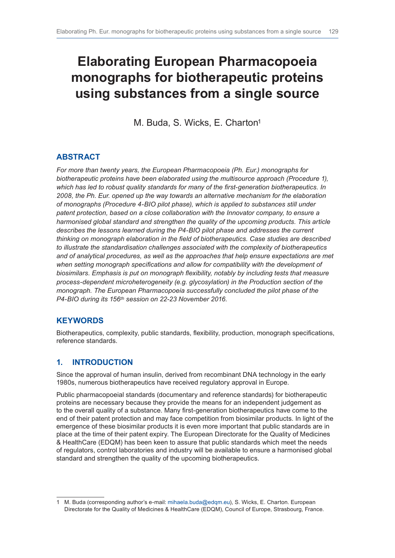# **Elaborating European Pharmacopoeia monographs for biotherapeutic proteins using substances from a single source**

M. Buda, S. Wicks, E. Charton<sup>1</sup>

# **ABSTRACT**

*For more than twenty years, the European Pharmacopoeia (Ph. Eur.) monographs for*  biotherapeutic proteins have been elaborated using the multisource approach (Procedure 1), *which has led to robust quality standards for many of the first-generation biotherapeutics. In 2008, the Ph. Eur. opened up the way towards an alternative mechanism for the elaboration of monographs (Procedure 4-BIO pilot phase), which is applied to substances still under patent protection, based on a close collaboration with the Innovator company, to ensure a harmonised global standard and strengthen the quality of the upcoming products. This article describes the lessons learned during the P4-BIO pilot phase and addresses the current thinking on monograph elaboration in the field of biotherapeutics. Case studies are described to illustrate the standardisation challenges associated with the complexity of biotherapeutics and of analytical procedures, as well as the approaches that help ensure expectations are met*  when setting monograph specifications and allow for compatibility with the development of *biosimilars. Emphasis is put on monograph flexibility, notably by including tests that measure process-dependent microheterogeneity (e.g. glycosylation) in the Production section of the monograph. The European Pharmacopoeia successfully concluded the pilot phase of the P4-BIO during its 156th session on 22-23 November 2016.*

## **KEYWORDS**

Biotherapeutics, complexity, public standards, flexibility, production, monograph specifications, reference standards.

## **1. INTRODUCTION**

Since the approval of human insulin, derived from recombinant DNA technology in the early 1980s, numerous biotherapeutics have received regulatory approval in Europe.

Public pharmacopoeial standards (documentary and reference standards) for biotherapeutic proteins are necessary because they provide the means for an independent judgement as to the overall quality of a substance. Many first-generation biotherapeutics have come to the end of their patent protection and may face competition from biosimilar products. In light of the emergence of these biosimilar products it is even more important that public standards are in place at the time of their patent expiry. The European Directorate for the Quality of Medicines & HealthCare (EDQM) has been keen to assure that public standards which meet the needs of regulators, control laboratories and industry will be available to ensure a harmonised global standard and strengthen the quality of the upcoming biotherapeutics.

<sup>1</sup> M. Buda (corresponding author's e-mail: [mihaela.buda@edqm.eu](mailto:mihaela.buda%40edqm.eu?subject=)), S. Wicks, E. Charton. European Directorate for the Quality of Medicines & HealthCare (EDQM), Council of Europe, Strasbourg, France.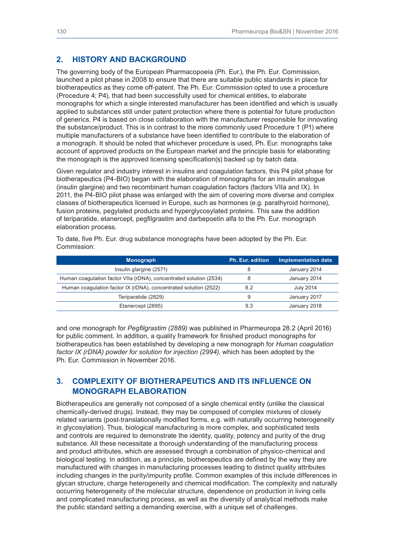#### **2. HISTORY AND BACKGROUND**

The governing body of the European Pharmacopoeia (Ph. Eur.), the Ph. Eur. Commission, launched a pilot phase in 2008 to ensure that there are suitable public standards in place for biotherapeutics as they come off-patent. The Ph. Eur. Commission opted to use a procedure (Procedure 4; P4), that had been successfully used for chemical entities, to elaborate monographs for which a single interested manufacturer has been identified and which is usually applied to substances still under patent protection where there is potential for future production of generics. P4 is based on close collaboration with the manufacturer responsible for innovating the substance/product. This is in contrast to the more commonly used Procedure 1 (P1) where multiple manufacturers of a substance have been identified to contribute to the elaboration of a monograph. It should be noted that whichever procedure is used, Ph. Eur. monographs take account of approved products on the European market and the principle basis for elaborating the monograph is the approved licensing specification(s) backed up by batch data.

Given regulator and industry interest in insulins and coagulation factors, this P4 pilot phase for biotherapeutics (P4-BIO) began with the elaboration of monographs for an insulin analogue (insulin glargine) and two recombinant human coagulation factors (factors VIIa and IX). In 2011, the P4-BIO pilot phase was enlarged with the aim of covering more diverse and complex classes of biotherapeutics licensed in Europe, such as hormones (e.g. parathyroid hormone), fusion proteins, pegylated products and hyperglycosylated proteins. This saw the addition of teriparatide, etanercept, pegfilgrastim and darbepoetin alfa to the Ph. Eur. monograph elaboration process.

To date, five Ph. Eur. drug substance monographs have been adopted by the Ph. Eur. Commission:

| <b>Monograph</b>                                                   | Ph. Eur. edition | <b>Implementation date</b> |
|--------------------------------------------------------------------|------------------|----------------------------|
| Insulin glargine (2571)                                            |                  | January 2014               |
| Human coagulation factor VIIa (rDNA), concentrated solution (2534) |                  | January 2014               |
| Human coagulation factor IX (rDNA), concentrated solution (2522)   | 8.2              | <b>July 2014</b>           |
| Teriparatide (2829)                                                | 9                | January 2017               |
| Etanercept (2895)                                                  | 9.3              | January 2018               |

and one monograph for *Pegfilgrastim (2889)* was published in Pharmeuropa 28.2 (April 2016) for public comment. In addition, a quality framework for finished product monographs for biotherapeutics has been established by developing a new monograph for *Human coagulation factor IX (rDNA) powder for solution for injection (2994)*, which has been adopted by the Ph. Eur. Commission in November 2016.

#### **3. COMPLEXITY OF BIOTHERAPEUTICS AND ITS INFLUENCE ON MONOGRAPH ELABORATION**

Biotherapeutics are generally not composed of a single chemical entity (unlike the classical chemically-derived drugs). Instead, they may be composed of complex mixtures of closely related variants (post-translationally modified forms, e.g. with naturally occurring heterogeneity in glycosylation). Thus, biological manufacturing is more complex, and sophisticated tests and controls are required to demonstrate the identity, quality, potency and purity of the drug substance. All these necessitate a thorough understanding of the manufacturing process and product attributes, which are assessed through a combination of physico-chemical and biological testing. In addition, as a principle, biotherapeutics are defined by the way they are manufactured with changes in manufacturing processes leading to distinct quality attributes including changes in the purity/impurity profile. Common examples of this include differences in glycan structure, charge heterogeneity and chemical modification. The complexity and naturally occurring heterogeneity of the molecular structure, dependence on production in living cells and complicated manufacturing process, as well as the diversity of analytical methods make the public standard setting a demanding exercise, with a unique set of challenges.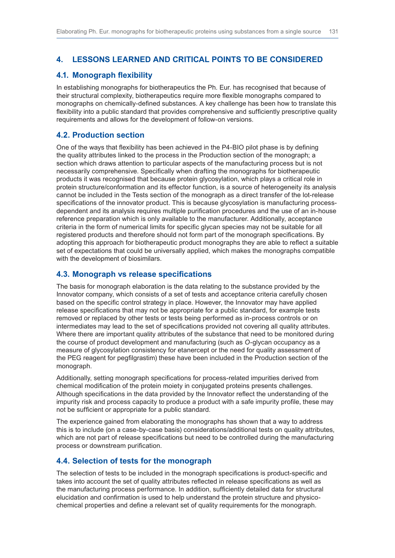## **4. LESSONS LEARNED AND CRITICAL POINTS TO BE CONSIDERED**

### **4.1. Monograph flexibility**

In establishing monographs for biotherapeutics the Ph. Eur. has recognised that because of their structural complexity, biotherapeutics require more flexible monographs compared to monographs on chemically-defined substances. A key challenge has been how to translate this flexibility into a public standard that provides comprehensive and sufficiently prescriptive quality requirements and allows for the development of follow-on versions.

#### **4.2. Production section**

One of the ways that flexibility has been achieved in the P4-BIO pilot phase is by defining the quality attributes linked to the process in the Production section of the monograph; a section which draws attention to particular aspects of the manufacturing process but is not necessarily comprehensive. Specifically when drafting the monographs for biotherapeutic products it was recognised that because protein glycosylation, which plays a critical role in protein structure/conformation and its effector function, is a source of heterogeneity its analysis cannot be included in the Tests section of the monograph as a direct transfer of the lot-release specifications of the innovator product. This is because glycosylation is manufacturing processdependent and its analysis requires multiple purification procedures and the use of an in-house reference preparation which is only available to the manufacturer. Additionally, acceptance criteria in the form of numerical limits for specific glycan species may not be suitable for all registered products and therefore should not form part of the monograph specifications. By adopting this approach for biotherapeutic product monographs they are able to reflect a suitable set of expectations that could be universally applied, which makes the monographs compatible with the development of biosimilars.

#### **4.3. Monograph vs release specifications**

The basis for monograph elaboration is the data relating to the substance provided by the Innovator company, which consists of a set of tests and acceptance criteria carefully chosen based on the specific control strategy in place. However, the Innovator may have applied release specifications that may not be appropriate for a public standard, for example tests removed or replaced by other tests or tests being performed as in-process controls or on intermediates may lead to the set of specifications provided not covering all quality attributes. Where there are important quality attributes of the substance that need to be monitored during the course of product development and manufacturing (such as *O*-glycan occupancy as a measure of glycosylation consistency for etanercept or the need for quality assessment of the PEG reagent for pegfilgrastim) these have been included in the Production section of the monograph.

Additionally, setting monograph specifications for process-related impurities derived from chemical modification of the protein moiety in conjugated proteins presents challenges. Although specifications in the data provided by the Innovator reflect the understanding of the impurity risk and process capacity to produce a product with a safe impurity profile, these may not be sufficient or appropriate for a public standard.

The experience gained from elaborating the monographs has shown that a way to address this is to include (on a case-by-case basis) considerations/additional tests on quality attributes, which are not part of release specifications but need to be controlled during the manufacturing process or downstream purification.

## **4.4. Selection of tests for the monograph**

The selection of tests to be included in the monograph specifications is product-specific and takes into account the set of quality attributes reflected in release specifications as well as the manufacturing process performance. In addition, sufficiently detailed data for structural elucidation and confirmation is used to help understand the protein structure and physicochemical properties and define a relevant set of quality requirements for the monograph.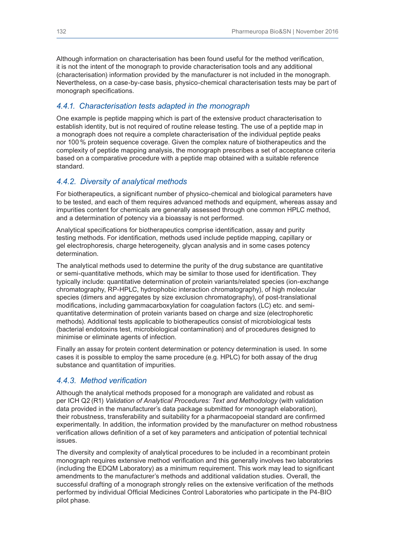Although information on characterisation has been found useful for the method verification, it is not the intent of the monograph to provide characterisation tools and any additional (characterisation) information provided by the manufacturer is not included in the monograph. Nevertheless, on a case-by-case basis, physico-chemical characterisation tests may be part of monograph specifications.

#### *4.4.1. Characterisation tests adapted in the monograph*

One example is peptide mapping which is part of the extensive product characterisation to establish identity, but is not required of routine release testing. The use of a peptide map in a monograph does not require a complete characterisation of the individual peptide peaks nor 100 % protein sequence coverage. Given the complex nature of biotherapeutics and the complexity of peptide mapping analysis, the monograph prescribes a set of acceptance criteria based on a comparative procedure with a peptide map obtained with a suitable reference standard.

## *4.4.2. Diversity of analytical methods*

For biotherapeutics, a significant number of physico-chemical and biological parameters have to be tested, and each of them requires advanced methods and equipment, whereas assay and impurities content for chemicals are generally assessed through one common HPLC method, and a determination of potency via a bioassay is not performed.

Analytical specifications for biotherapeutics comprise identification, assay and purity testing methods. For identification, methods used include peptide mapping, capillary or gel electrophoresis, charge heterogeneity, glycan analysis and in some cases potency determination.

The analytical methods used to determine the purity of the drug substance are quantitative or semi-quantitative methods, which may be similar to those used for identification. They typically include: quantitative determination of protein variants/related species (ion-exchange chromatography, RP-HPLC, hydrophobic interaction chromatography), of high molecular species (dimers and aggregates by size exclusion chromatography), of post-translational modifications, including gammacarboxylation for coagulation factors (LC) etc. and semiquantitative determination of protein variants based on charge and size (electrophoretic methods). Additional tests applicable to biotherapeutics consist of microbiological tests (bacterial endotoxins test, microbiological contamination) and of procedures designed to minimise or eliminate agents of infection.

Finally an assay for protein content determination or potency determination is used. In some cases it is possible to employ the same procedure (e.g. HPLC) for both assay of the drug substance and quantitation of impurities.

#### *4.4.3. Method verification*

Although the analytical methods proposed for a monograph are validated and robust as per ICH Q2 (R1) *Validation of Analytical Procedures: Text and Methodology* (with validation data provided in the manufacturer's data package submitted for monograph elaboration), their robustness, transferability and suitability for a pharmacopoeial standard are confirmed experimentally. In addition, the information provided by the manufacturer on method robustness verification allows definition of a set of key parameters and anticipation of potential technical issues.

The diversity and complexity of analytical procedures to be included in a recombinant protein monograph requires extensive method verification and this generally involves two laboratories (including the EDQM Laboratory) as a minimum requirement. This work may lead to significant amendments to the manufacturer's methods and additional validation studies. Overall, the successful drafting of a monograph strongly relies on the extensive verification of the methods performed by individual Official Medicines Control Laboratories who participate in the P4-BIO pilot phase.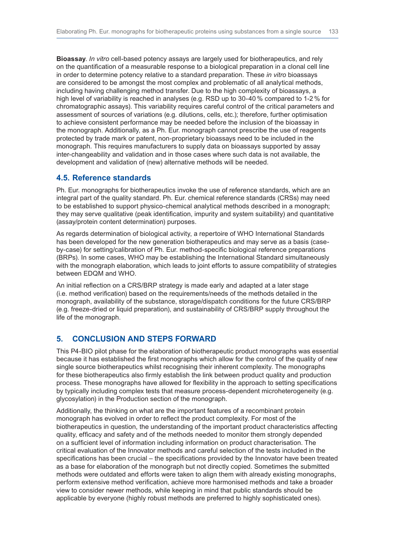**Bioassay**. *In vitro* cell-based potency assays are largely used for biotherapeutics, and rely on the quantification of a measurable response to a biological preparation in a clonal cell line in order to determine potency relative to a standard preparation. These *in vitro* bioassays are considered to be amongst the most complex and problematic of all analytical methods, including having challenging method transfer. Due to the high complexity of bioassays, a high level of variability is reached in analyses (e.g. RSD up to 30-40 % compared to 1-2 % for chromatographic assays). This variability requires careful control of the critical parameters and assessment of sources of variations (e.g. dilutions, cells, etc.); therefore, further optimisation to achieve consistent performance may be needed before the inclusion of the bioassay in the monograph. Additionally, as a Ph. Eur. monograph cannot prescribe the use of reagents protected by trade mark or patent, non-proprietary bioassays need to be included in the monograph. This requires manufacturers to supply data on bioassays supported by assay inter-changeability and validation and in those cases where such data is not available, the development and validation of (new) alternative methods will be needed.

#### **4.5. Reference standards**

Ph. Eur. monographs for biotherapeutics invoke the use of reference standards, which are an integral part of the quality standard. Ph. Eur. chemical reference standards (CRSs) may need to be established to support physico-chemical analytical methods described in a monograph; they may serve qualitative (peak identification, impurity and system suitability) and quantitative (assay/protein content determination) purposes.

As regards determination of biological activity, a repertoire of WHO International Standards has been developed for the new generation biotherapeutics and may serve as a basis (caseby-case) for setting/calibration of Ph. Eur. method-specific biological reference preparations (BRPs). In some cases, WHO may be establishing the International Standard simultaneously with the monograph elaboration, which leads to joint efforts to assure compatibility of strategies between EDQM and WHO.

An initial reflection on a CRS/BRP strategy is made early and adapted at a later stage (i.e. method verification) based on the requirements/needs of the methods detailed in the monograph, availability of the substance, storage/dispatch conditions for the future CRS/BRP (e.g. freeze-dried or liquid preparation), and sustainability of CRS/BRP supply throughout the life of the monograph.

## **5. CONCLUSION AND STEPS FORWARD**

This P4-BIO pilot phase for the elaboration of biotherapeutic product monographs was essential because it has established the first monographs which allow for the control of the quality of new single source biotherapeutics whilst recognising their inherent complexity. The monographs for these biotherapeutics also firmly establish the link between product quality and production process. These monographs have allowed for flexibility in the approach to setting specifications by typically including complex tests that measure process-dependent microheterogeneity (e.g. glycosylation) in the Production section of the monograph.

Additionally, the thinking on what are the important features of a recombinant protein monograph has evolved in order to reflect the product complexity. For most of the biotherapeutics in question, the understanding of the important product characteristics affecting quality, efficacy and safety and of the methods needed to monitor them strongly depended on a sufficient level of information including information on product characterisation. The critical evaluation of the Innovator methods and careful selection of the tests included in the specifications has been crucial – the specifications provided by the Innovator have been treated as a base for elaboration of the monograph but not directly copied. Sometimes the submitted methods were outdated and efforts were taken to align them with already existing monographs, perform extensive method verification, achieve more harmonised methods and take a broader view to consider newer methods, while keeping in mind that public standards should be applicable by everyone (highly robust methods are preferred to highly sophisticated ones).